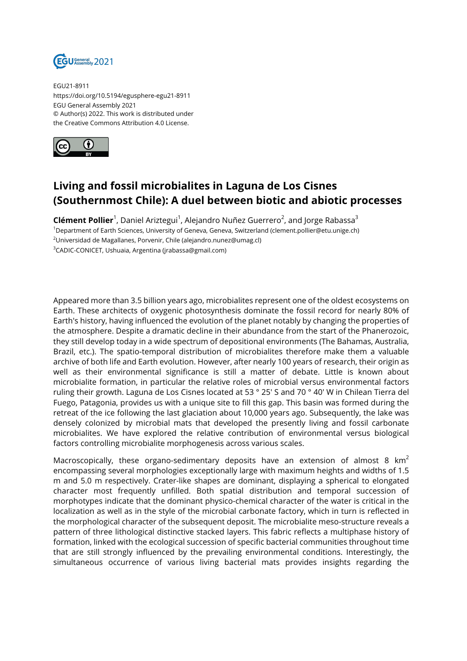

EGU21-8911 https://doi.org/10.5194/egusphere-egu21-8911 EGU General Assembly 2021 © Author(s) 2022. This work is distributed under the Creative Commons Attribution 4.0 License.



## **Living and fossil microbialites in Laguna de Los Cisnes (Southernmost Chile): A duel between biotic and abiotic processes**

**Clément Pollier**<sup>1</sup>, Daniel Ariztegui<sup>1</sup>, Alejandro Nuñez Guerrero<sup>2</sup>, and Jorge Rabassa<sup>3</sup> Department of Earth Sciences, University of Geneva, Geneva, Switzerland (clement.pollier@etu.unige.ch) Universidad de Magallanes, Porvenir, Chile (alejandro.nunez@umag.cl) CADIC-CONICET, Ushuaia, Argentina (jrabassa@gmail.com)

Appeared more than 3.5 billion years ago, microbialites represent one of the oldest ecosystems on Earth. These architects of oxygenic photosynthesis dominate the fossil record for nearly 80% of Earth's history, having influenced the evolution of the planet notably by changing the properties of the atmosphere. Despite a dramatic decline in their abundance from the start of the Phanerozoic, they still develop today in a wide spectrum of depositional environments (The Bahamas, Australia, Brazil, etc.). The spatio-temporal distribution of microbialites therefore make them a valuable archive of both life and Earth evolution. However, after nearly 100 years of research, their origin as well as their environmental significance is still a matter of debate. Little is known about microbialite formation, in particular the relative roles of microbial versus environmental factors ruling their growth. Laguna de Los Cisnes located at 53 ° 25' S and 70 ° 40' W in Chilean Tierra del Fuego, Patagonia, provides us with a unique site to fill this gap. This basin was formed during the retreat of the ice following the last glaciation about 10,000 years ago. Subsequently, the lake was densely colonized by microbial mats that developed the presently living and fossil carbonate microbialites. We have explored the relative contribution of environmental versus biological factors controlling microbialite morphogenesis across various scales.

Macroscopically, these organo-sedimentary deposits have an extension of almost 8  $km^2$ encompassing several morphologies exceptionally large with maximum heights and widths of 1.5 m and 5.0 m respectively. Crater-like shapes are dominant, displaying a spherical to elongated character most frequently unfilled. Both spatial distribution and temporal succession of morphotypes indicate that the dominant physico-chemical character of the water is critical in the localization as well as in the style of the microbial carbonate factory, which in turn is reflected in the morphological character of the subsequent deposit. The microbialite meso-structure reveals a pattern of three lithological distinctive stacked layers. This fabric reflects a multiphase history of formation, linked with the ecological succession of specific bacterial communities throughout time that are still strongly influenced by the prevailing environmental conditions. Interestingly, the simultaneous occurrence of various living bacterial mats provides insights regarding the